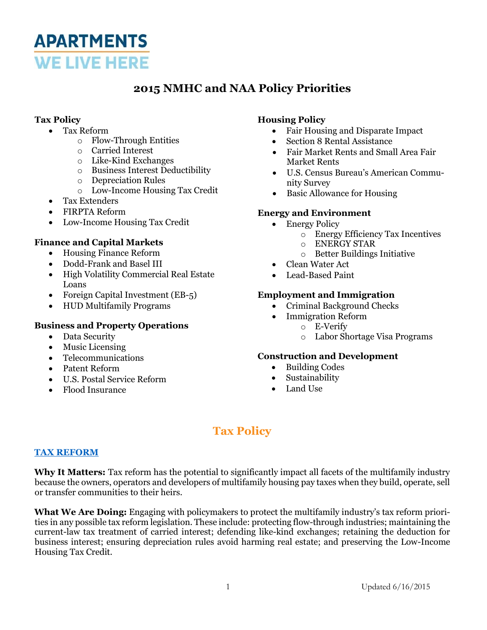

## **2015 NMHC and NAA Policy Priorities**

### **Tax Policy**

- Tax Reform
	- o Flow-Through Entities
	- o Carried Interest
	- o Like-Kind Exchanges
	- o Business Interest Deductibility
	- o Depreciation Rules
	- o Low-Income Housing Tax Credit
- Tax Extenders
- FIRPTA Reform
- Low-Income Housing Tax Credit

#### **Finance and Capital Markets**

- Housing Finance Reform
- Dodd-Frank and Basel III
- High Volatility Commercial Real Estate Loans
- Foreign Capital Investment (EB-5)
- HUD Multifamily Programs

#### **Business and Property Operations**

- Data Security
- Music Licensing
- Telecommunications
- Patent Reform
- U.S. Postal Service Reform
- Flood Insurance

### **Housing Policy**

- Fair Housing and Disparate Impact
	- Section 8 Rental Assistance
	- Fair Market Rents and Small Area Fair Market Rents
- U.S. Census Bureau's American Community Survey
- Basic Allowance for Housing

#### **Energy and Environment**

- Energy Policy
	- o Energy Efficiency Tax Incentives
	- o ENERGY STAR
	- o Better Buildings Initiative
- Clean Water Act
- Lead-Based Paint

#### **Employment and Immigration**

- Criminal Background Checks
- Immigration Reform
	- o E-Verify
		- o Labor Shortage Visa Programs

#### **Construction and Development**

- Building Codes
- Sustainability
- Land Use

# **Tax Policy**

#### **[TAX REFORM](http://www.nmhc.org/TopicInfo.aspx?id=358)**

Why It Matters: Tax reform has the potential to significantly impact all facets of the multifamily industry because the owners, operators and developers of multifamily housing pay taxes when they build, operate, sell or transfer communities to their heirs.

**What We Are Doing:** Engaging with policymakers to protect the multifamily industry's tax reform priorities in any possible tax reform legislation. These include: protecting flow-through industries; maintaining the current-law tax treatment of carried interest; defending like-kind exchanges; retaining the deduction for business interest; ensuring depreciation rules avoid harming real estate; and preserving the Low-Income Housing Tax Credit.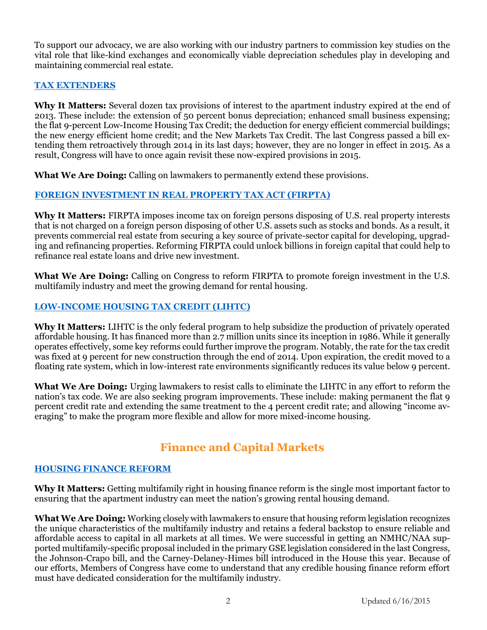To support our advocacy, we are also working with our industry partners to commission key studies on the vital role that like-kind exchanges and economically viable depreciation schedules play in developing and maintaining commercial real estate.

### **[TAX EXTENDERS](http://www.nmhc.org/TopicInfo.aspx?id=1101)**

**Why It Matters:** Several dozen tax provisions of interest to the apartment industry expired at the end of 2013. These include: the extension of 50 percent bonus depreciation; enhanced small business expensing; the flat 9-percent Low-Income Housing Tax Credit; the deduction for energy efficient commercial buildings; the new energy efficient home credit; and the New Markets Tax Credit. The last Congress passed a bill extending them retroactively through 2014 in its last days; however, they are no longer in effect in 2015. As a result, Congress will have to once again revisit these now-expired provisions in 2015.

**What We Are Doing:** Calling on lawmakers to permanently extend these provisions.

## **[FOREIGN INVESTMENT IN REAL PROPERTY TAX ACT \(FIRPTA\)](http://www.nmhc.org/TopicInfo.aspx?id=1100)**

**Why It Matters:** FIRPTA imposes income tax on foreign persons disposing of U.S. real property interests that is not charged on a foreign person disposing of other U.S. assets such as stocks and bonds. As a result, it prevents commercial real estate from securing a key source of private-sector capital for developing, upgrading and refinancing properties. Reforming FIRPTA could unlock billions in foreign capital that could help to refinance real estate loans and drive new investment.

**What We Are Doing:** Calling on Congress to reform FIRPTA to promote foreign investment in the U.S. multifamily industry and meet the growing demand for rental housing.

## **[LOW-INCOME HOUSING TAX CREDIT \(LIHTC\)](http://www.nmhc.org/TopicInfo.aspx?id=439)**

**Why It Matters:** LIHTC is the only federal program to help subsidize the production of privately operated affordable housing. It has financed more than 2.7 million units since its inception in 1986. While it generally operates effectively, some key reforms could further improve the program. Notably, the rate for the tax credit was fixed at 9 percent for new construction through the end of 2014. Upon expiration, the credit moved to a floating rate system, which in low-interest rate environments significantly reduces its value below 9 percent.

**What We Are Doing:** Urging lawmakers to resist calls to eliminate the LIHTC in any effort to reform the nation's tax code. We are also seeking program improvements. These include: making permanent the flat 9 percent credit rate and extending the same treatment to the 4 percent credit rate; and allowing "income averaging" to make the program more flexible and allow for more mixed-income housing.

# **Finance and Capital Markets**

#### **[HOUSING FINANCE REFORM](http://www.nmhc.org/TopicInfo.aspx?id=212)**

**Why It Matters:** Getting multifamily right in housing finance reform is the single most important factor to ensuring that the apartment industry can meet the nation's growing rental housing demand.

**What We Are Doing:** Working closely with lawmakers to ensure that housing reform legislation recognizes the unique characteristics of the multifamily industry and retains a federal backstop to ensure reliable and affordable access to capital in all markets at all times. We were successful in getting an NMHC/NAA supported multifamily-specific proposal included in the primary GSE legislation considered in the last Congress, the Johnson-Crapo bill, and the Carney-Delaney-Himes bill introduced in the House this year. Because of our efforts, Members of Congress have come to understand that any credible housing finance reform effort must have dedicated consideration for the multifamily industry.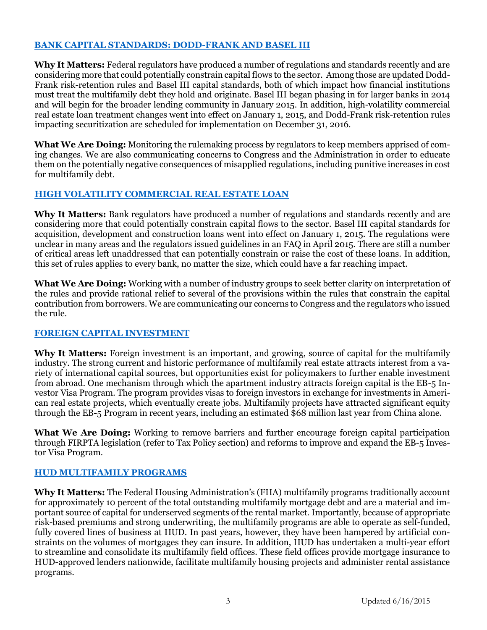### **[BANK CAPITAL STANDARDS: DODD-FRANK AND BASEL III](https://www.nmhc.org/TopicInfo.aspx?id=254)**

**Why It Matters:** Federal regulators have produced a number of regulations and standards recently and are considering more that could potentially constrain capital flows to the sector. Among those are updated Dodd-Frank risk-retention rules and Basel III capital standards, both of which impact how financial institutions must treat the multifamily debt they hold and originate. Basel III began phasing in for larger banks in 2014 and will begin for the broader lending community in January 2015. In addition, high-volatility commercial real estate loan treatment changes went into effect on January 1, 2015, and Dodd-Frank risk-retention rules impacting securitization are scheduled for implementation on December 31, 2016.

**What We Are Doing:** Monitoring the rulemaking process by regulators to keep members apprised of coming changes. We are also communicating concerns to Congress and the Administration in order to educate them on the potentially negative consequences of misapplied regulations, including punitive increases in cost for multifamily debt.

## **[HIGH VOLATILITY COMMERCIAL REAL ESTATE LOAN](https://www.fdic.gov/regulations/capital/capital/faq-hvcre.pdf)**

**Why It Matters:** Bank regulators have produced a number of regulations and standards recently and are considering more that could potentially constrain capital flows to the sector. Basel III capital standards for acquisition, development and construction loans went into effect on January 1, 2015. The regulations were unclear in many areas and the regulators issued guidelines in an FAQ in April 2015. There are still a number of critical areas left unaddressed that can potentially constrain or raise the cost of these loans. In addition, this set of rules applies to every bank, no matter the size, which could have a far reaching impact.

**What We Are Doing:** Working with a number of industry groups to seek better clarity on interpretation of the rules and provide rational relief to several of the provisions within the rules that constrain the capital contribution from borrowers. We are communicating our concerns to Congress and the regulators who issued the rule.

#### **[FOREIGN CAPITAL INVESTMENT](https://www.nmhc.org/uploadedFiles/Articles/Comment_Letters/EB%205%20Immigration%20Letter.pdf)**

**Why It Matters:** Foreign investment is an important, and growing, source of capital for the multifamily industry. The strong current and historic performance of multifamily real estate attracts interest from a variety of international capital sources, but opportunities exist for policymakers to further enable investment from abroad. One mechanism through which the apartment industry attracts foreign capital is the EB-5 Investor Visa Program. The program provides visas to foreign investors in exchange for investments in American real estate projects, which eventually create jobs. Multifamily projects have attracted significant equity through the EB-5 Program in recent years, including an estimated \$68 million last year from China alone.

**What We Are Doing:** Working to remove barriers and further encourage foreign capital participation through FIRPTA legislation (refer to Tax Policy section) and reforms to improve and expand the EB-5 Investor Visa Program.

#### **[HUD MULTIFAMILY PROGRAMS](http://www.nmhc.org/TopicInfo.aspx?id=213)**

**Why It Matters:** The Federal Housing Administration's (FHA) multifamily programs traditionally account for approximately 10 percent of the total outstanding multifamily mortgage debt and are a material and important source of capital for underserved segments of the rental market. Importantly, because of appropriate risk-based premiums and strong underwriting, the multifamily programs are able to operate as self-funded, fully covered lines of business at HUD. In past years, however, they have been hampered by artificial constraints on the volumes of mortgages they can insure. In addition, HUD has undertaken a multi-year effort to streamline and consolidate its multifamily field offices. These field offices provide mortgage insurance to HUD-approved lenders nationwide, facilitate multifamily housing projects and administer rental assistance programs.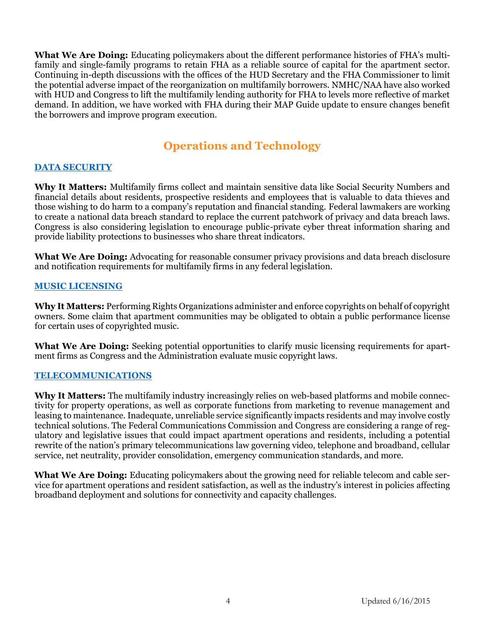**What We Are Doing:** Educating policymakers about the different performance histories of FHA's multifamily and single-family programs to retain FHA as a reliable source of capital for the apartment sector. Continuing in-depth discussions with the offices of the HUD Secretary and the FHA Commissioner to limit the potential adverse impact of the reorganization on multifamily borrowers. NMHC/NAA have also worked with HUD and Congress to lift the multifamily lending authority for FHA to levels more reflective of market demand. In addition, we have worked with FHA during their MAP Guide update to ensure changes benefit the borrowers and improve program execution.

# **Operations and Technology**

## **[DATA SECURITY](http://www.nmhc.org/TopicInfo.aspx?id=945)**

**Why It Matters:** Multifamily firms collect and maintain sensitive data like Social Security Numbers and financial details about residents, prospective residents and employees that is valuable to data thieves and those wishing to do harm to a company's reputation and financial standing. Federal lawmakers are working to create a national data breach standard to replace the current patchwork of privacy and data breach laws. Congress is also considering legislation to encourage public-private cyber threat information sharing and provide liability protections to businesses who share threat indicators.

**What We Are Doing:** Advocating for reasonable consumer privacy provisions and data breach disclosure and notification requirements for multifamily firms in any federal legislation.

## **[MUSIC LICENSING](http://www.nmhc.org/TopicInfo.aspx?id=645)**

**Why It Matters:** Performing Rights Organizations administer and enforce copyrights on behalf of copyright owners. Some claim that apartment communities may be obligated to obtain a public performance license for certain uses of copyrighted music.

**What We Are Doing:** Seeking potential opportunities to clarify music licensing requirements for apartment firms as Congress and the Administration evaluate music copyright laws.

#### **[TELECOMMUNICATIONS](http://www.nmhc.org/TopicInfo.aspx?id=234)**

**Why It Matters:** The multifamily industry increasingly relies on web-based platforms and mobile connectivity for property operations, as well as corporate functions from marketing to revenue management and leasing to maintenance. Inadequate, unreliable service significantly impacts residents and may involve costly technical solutions. The Federal Communications Commission and Congress are considering a range of regulatory and legislative issues that could impact apartment operations and residents, including a potential rewrite of the nation's primary telecommunications law governing video, telephone and broadband, cellular service, net neutrality, provider consolidation, emergency communication standards, and more.

**What We Are Doing:** Educating policymakers about the growing need for reliable telecom and cable service for apartment operations and resident satisfaction, as well as the industry's interest in policies affecting broadband deployment and solutions for connectivity and capacity challenges.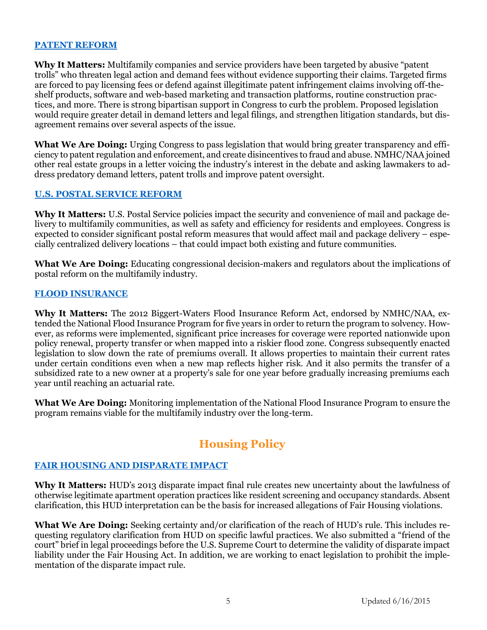#### **[PATENT REFORM](http://www.nmhc.org/TopicInfo.aspx?id=1104)**

**Why It Matters:** Multifamily companies and service providers have been targeted by abusive "patent trolls" who threaten legal action and demand fees without evidence supporting their claims. Targeted firms are forced to pay licensing fees or defend against illegitimate patent infringement claims involving off-theshelf products, software and web-based marketing and transaction platforms, routine construction practices, and more. There is strong bipartisan support in Congress to curb the problem. Proposed legislation would require greater detail in demand letters and legal filings, and strengthen litigation standards, but disagreement remains over several aspects of the issue.

**What We Are Doing:** Urging Congress to pass legislation that would bring greater transparency and efficiency to patent regulation and enforcement, and create disincentives to fraud and abuse. NMHC/NAA joined other real estate groups in a letter voicing the industry's interest in the debate and asking lawmakers to address predatory demand letters, patent trolls and improve patent oversight.

#### **[U.S. POSTAL SERVICE REFORM](http://www.nmhc.org/TopicInfo.aspx?id=921)**

**Why It Matters:** U.S. Postal Service policies impact the security and convenience of mail and package delivery to multifamily communities, as well as safety and efficiency for residents and employees. Congress is expected to consider significant postal reform measures that would affect mail and package delivery – especially centralized delivery locations – that could impact both existing and future communities.

**What We Are Doing:** Educating congressional decision-makers and regulators about the implications of postal reform on the multifamily industry.

#### **[FLOOD INSURANCE](http://www.nmhc.org/TopicInfo.aspx?id=670)**

**Why It Matters:** The 2012 Biggert-Waters Flood Insurance Reform Act, endorsed by NMHC/NAA, extended the National Flood Insurance Program for five years in order to return the program to solvency. However, as reforms were implemented, significant price increases for coverage were reported nationwide upon policy renewal, property transfer or when mapped into a riskier flood zone. Congress subsequently enacted legislation to slow down the rate of premiums overall. It allows properties to maintain their current rates under certain conditions even when a new map reflects higher risk. And it also permits the transfer of a subsidized rate to a new owner at a property's sale for one year before gradually increasing premiums each year until reaching an actuarial rate.

**What We Are Doing:** Monitoring implementation of the National Flood Insurance Program to ensure the program remains viable for the multifamily industry over the long-term.

# **Housing Policy**

#### **FAIR HOUSING [AND DISPARATE IMPACT](http://www.nmhc.org/TopicInfo.aspx?id=408)**

**Why It Matters:** HUD's 2013 disparate impact final rule creates new uncertainty about the lawfulness of otherwise legitimate apartment operation practices like resident screening and occupancy standards. Absent clarification, this HUD interpretation can be the basis for increased allegations of Fair Housing violations.

**What We Are Doing:** Seeking certainty and/or clarification of the reach of HUD's rule. This includes requesting regulatory clarification from HUD on specific lawful practices. We also submitted a "friend of the court" brief in legal proceedings before the U.S. Supreme Court to determine the validity of disparate impact liability under the Fair Housing Act. In addition, we are working to enact legislation to prohibit the implementation of the disparate impact rule.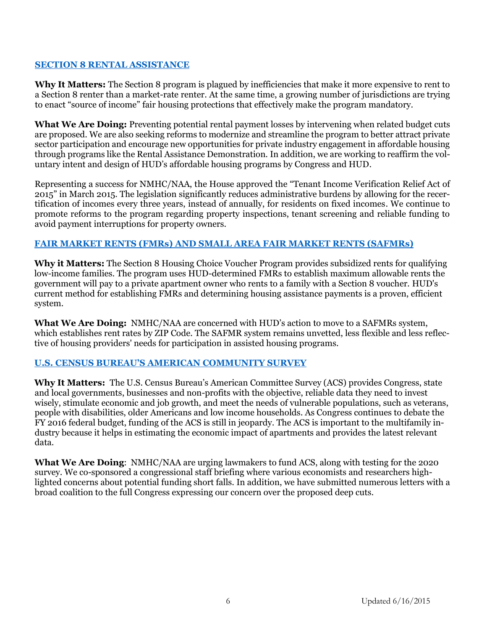## **[SECTION 8 RENTAL ASSISTANCE](http://www.nmhc.org/TopicInfo.aspx?id=967)**

**Why It Matters:** The Section 8 program is plagued by inefficiencies that make it more expensive to rent to a Section 8 renter than a market-rate renter. At the same time, a growing number of jurisdictions are trying to enact "source of income" fair housing protections that effectively make the program mandatory.

**What We Are Doing:** Preventing potential rental payment losses by intervening when related budget cuts are proposed. We are also seeking reforms to modernize and streamline the program to better attract private sector participation and encourage new opportunities for private industry engagement in affordable housing through programs like the Rental Assistance Demonstration. In addition, we are working to reaffirm the voluntary intent and design of HUD's affordable housing programs by Congress and HUD.

Representing a success for NMHC/NAA, the House approved the "Tenant Income Verification Relief Act of 2015" in March 2015. The legislation significantly reduces administrative burdens by allowing for the recertification of incomes every three years, instead of annually, for residents on fixed incomes. We continue to promote reforms to the program regarding property inspections, tenant screening and reliable funding to avoid payment interruptions for property owners.

## **[FAIR MARKET RENTS \(FMRs\) AND SMALL AREA FAIR MARKET RENTS \(SAFMRs\)](https://www.nmhc.org/Advocacy/Fair-Market-Rents-Fact-Sheet/)**

**Why it Matters:** The Section 8 Housing Choice Voucher Program provides subsidized rents for qualifying low-income families. The program uses HUD-determined FMRs to establish maximum allowable rents the government will pay to a private apartment owner who rents to a family with a Section 8 voucher. HUD's current method for establishing FMRs and determining housing assistance payments is a proven, efficient system.

**What We Are Doing:** NMHC/NAA are concerned with HUD's action to move to a SAFMRs system, which establishes rent rates by ZIP Code. The SAFMR system remains unvetted, less flexible and less reflective of housing providers' needs for participation in assisted housing programs.

#### **U.S. CENSUS BUREAU'S [AMERICAN COMMUNITY SURVEY](http://www.nmhc.org/TopicInfo.aspx?id=379)**

**Why It Matters:** The U.S. Census Bureau's American Committee Survey (ACS) provides Congress, state and local governments, businesses and non-profits with the objective, reliable data they need to invest wisely, stimulate economic and job growth, and meet the needs of vulnerable populations, such as veterans, people with disabilities, older Americans and low income households. As Congress continues to debate the FY 2016 federal budget, funding of the ACS is still in jeopardy. The ACS is important to the multifamily industry because it helps in estimating the economic impact of apartments and provides the latest relevant data.

**What We Are Doing**: NMHC/NAA are urging lawmakers to fund ACS, along with testing for the 2020 survey. We co-sponsored a congressional staff briefing where various economists and researchers highlighted concerns about potential funding short falls. In addition, we have submitted numerous letters with a broad coalition to the full Congress expressing our concern over the proposed deep cuts.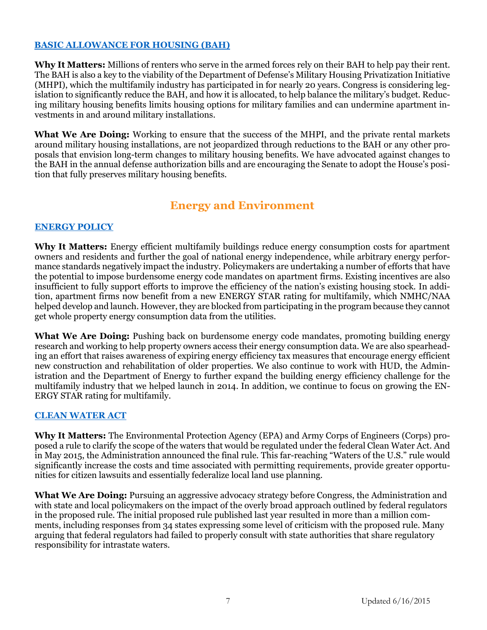## **[BASIC ALLOWANCE FOR HOUSING \(BAH\)](http://www.nmhc.org/TopicInfo.aspx?id=192)**

**Why It Matters:** Millions of renters who serve in the armed forces rely on their BAH to help pay their rent. The BAH is also a key to the viability of the Department of Defense's Military Housing Privatization Initiative (MHPI), which the multifamily industry has participated in for nearly 20 years. Congress is considering legislation to significantly reduce the BAH, and how it is allocated, to help balance the military's budget. Reducing military housing benefits limits housing options for military families and can undermine apartment investments in and around military installations.

**What We Are Doing:** Working to ensure that the success of the MHPI, and the private rental markets around military housing installations, are not jeopardized through reductions to the BAH or any other proposals that envision long-term changes to military housing benefits. We have advocated against changes to the BAH in the annual defense authorization bills and are encouraging the Senate to adopt the House's position that fully preserves military housing benefits.

## **Energy and Environment**

## **[ENERGY POLICY](http://www.nmhc.org/TopicInfo.aspx?id=954)**

**Why It Matters:** Energy efficient multifamily buildings reduce energy consumption costs for apartment owners and residents and further the goal of national energy independence, while arbitrary energy performance standards negatively impact the industry. Policymakers are undertaking a number of efforts that have the potential to impose burdensome energy code mandates on apartment firms. Existing incentives are also insufficient to fully support efforts to improve the efficiency of the nation's existing housing stock. In addition, apartment firms now benefit from a new ENERGY STAR rating for multifamily, which NMHC/NAA helped develop and launch. However, they are blocked from participating in the program because they cannot get whole property energy consumption data from the utilities.

**What We Are Doing:** Pushing back on burdensome energy code mandates, promoting building energy research and working to help property owners access their energy consumption data. We are also spearheading an effort that raises awareness of expiring energy efficiency tax measures that encourage energy efficient new construction and rehabilitation of older properties. We also continue to work with HUD, the Administration and the Department of Energy to further expand the building energy efficiency challenge for the multifamily industry that we helped launch in 2014. In addition, we continue to focus on growing the EN-ERGY STAR rating for multifamily.

#### **[CLEAN WATER ACT](http://www.nmhc.org/TopicInfo.aspx?id=879)**

**Why It Matters:** The Environmental Protection Agency (EPA) and Army Corps of Engineers (Corps) proposed a rule to clarify the scope of the waters that would be regulated under the federal Clean Water Act. And in May 2015, the Administration announced the final rule. This far-reaching "Waters of the U.S." rule would significantly increase the costs and time associated with permitting requirements, provide greater opportunities for citizen lawsuits and essentially federalize local land use planning.

**What We Are Doing:** Pursuing an aggressive advocacy strategy before Congress, the Administration and with state and local policymakers on the impact of the overly broad approach outlined by federal regulators in the proposed rule. The initial proposed rule published last year resulted in more than a million comments, including responses from 34 states expressing some level of criticism with the proposed rule. Many arguing that federal regulators had failed to properly consult with state authorities that share regulatory responsibility for intrastate waters.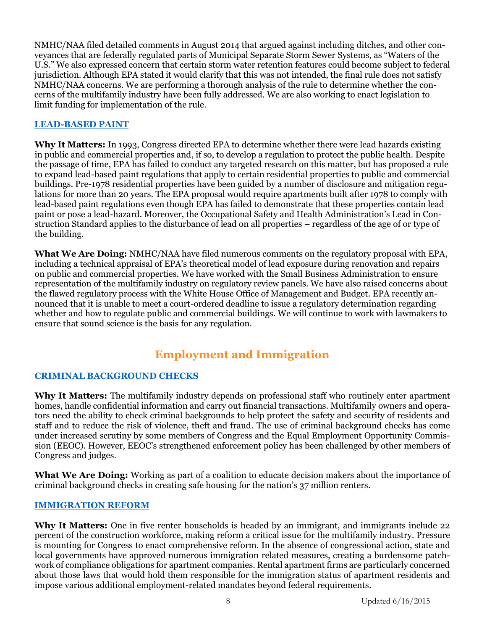NMHC/NAA filed detailed comments in August 2014 that argued against including ditches, and other conveyances that are federally regulated parts of Municipal Separate Storm Sewer Systems, as "Waters of the U.S." We also expressed concern that certain storm water retention features could become subject to federal jurisdiction. Although EPA stated it would clarify that this was not intended, the final rule does not satisfy NMHC/NAA concerns. We are performing a thorough analysis of the rule to determine whether the concerns of the multifamily industry have been fully addressed. We are also working to enact legislation to limit funding for implementation of the rule.

## **[LEAD-BASED PAINT](http://www.nmhc.org/TopicInfo.aspx?id=572)**

**Why It Matters:** In 1993, Congress directed EPA to determine whether there were lead hazards existing in public and commercial properties and, if so, to develop a regulation to protect the public health. Despite the passage of time, EPA has failed to conduct any targeted research on this matter, but has proposed a rule to expand lead-based paint regulations that apply to certain residential properties to public and commercial buildings. Pre-1978 residential properties have been guided by a number of disclosure and mitigation regulations for more than 20 years. The EPA proposal would require apartments built after 1978 to comply with lead-based paint regulations even though EPA has failed to demonstrate that these properties contain lead paint or pose a lead-hazard. Moreover, the Occupational Safety and Health Administration's Lead in Construction Standard applies to the disturbance of lead on all properties – regardless of the age of or type of the building.

**What We Are Doing:** NMHC/NAA have filed numerous comments on the regulatory proposal with EPA, including a technical appraisal of EPA's theoretical model of lead exposure during renovation and repairs on public and commercial properties. We have worked with the Small Business Administration to ensure representation of the multifamily industry on regulatory review panels. We have also raised concerns about the flawed regulatory process with the White House Office of Management and Budget. EPA recently announced that it is unable to meet a court-ordered deadline to issue a regulatory determination regarding whether and how to regulate public and commercial buildings. We will continue to work with lawmakers to ensure that sound science is the basis for any regulation.

# **Employment and Immigration**

## **[CRIMINAL BACKGROUND CHECKS](http://www.nmhc.org/TopicInfo.aspx?id=461)**

**Why It Matters:** The multifamily industry depends on professional staff who routinely enter apartment homes, handle confidential information and carry out financial transactions. Multifamily owners and operators need the ability to check criminal backgrounds to help protect the safety and security of residents and staff and to reduce the risk of violence, theft and fraud. The use of criminal background checks has come under increased scrutiny by some members of Congress and the Equal Employment Opportunity Commission (EEOC). However, EEOC's strengthened enforcement policy has been challenged by other members of Congress and judges.

**What We Are Doing:** Working as part of a coalition to educate decision makers about the importance of criminal background checks in creating safe housing for the nation's 37 million renters.

#### **[IMMIGRATION REFORM](http://www.nmhc.org/TopicInfo.aspx?id=508)**

Why It Matters: One in five renter households is headed by an immigrant, and immigrants include 22 percent of the construction workforce, making reform a critical issue for the multifamily industry. Pressure is mounting for Congress to enact comprehensive reform. In the absence of congressional action, state and local governments have approved numerous immigration related measures, creating a burdensome patchwork of compliance obligations for apartment companies. Rental apartment firms are particularly concerned about those laws that would hold them responsible for the immigration status of apartment residents and impose various additional employment-related mandates beyond federal requirements.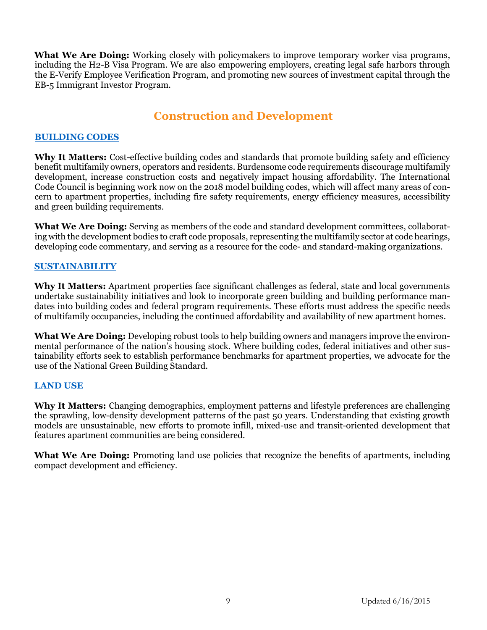**What We Are Doing:** Working closely with policymakers to improve temporary worker visa programs, including the H2-B Visa Program. We are also empowering employers, creating legal safe harbors through the E-Verify Employee Verification Program, and promoting new sources of investment capital through the EB-5 Immigrant Investor Program.

## **Construction and Development**

#### **[BUILDING CODES](http://www.nmhc.org/TopicInfo.aspx?id=222)**

**Why It Matters:** Cost-effective building codes and standards that promote building safety and efficiency benefit multifamily owners, operators and residents. Burdensome code requirements discourage multifamily development, increase construction costs and negatively impact housing affordability. The International Code Council is beginning work now on the 2018 model building codes, which will affect many areas of concern to apartment properties, including fire safety requirements, energy efficiency measures, accessibility and green building requirements.

**What We Are Doing:** Serving as members of the code and standard development committees, collaborating with the development bodies to craft code proposals, representing the multifamily sector at code hearings, developing code commentary, and serving as a resource for the code- and standard-making organizations.

## **[SUSTAINABILITY](https://www.nmhc.org/TopicInfo.aspx?id=229)**

**Why It Matters:** Apartment properties face significant challenges as federal, state and local governments undertake sustainability initiatives and look to incorporate green building and building performance mandates into building codes and federal program requirements. These efforts must address the specific needs of multifamily occupancies, including the continued affordability and availability of new apartment homes.

**What We Are Doing:** Developing robust tools to help building owners and managers improve the environmental performance of the nation's housing stock. Where building codes, federal initiatives and other sustainability efforts seek to establish performance benchmarks for apartment properties, we advocate for the use of the National Green Building Standard.

#### **[LAND USE](https://www.nmhc.org/TopicInfo.aspx?id=226)**

**Why It Matters:** Changing demographics, employment patterns and lifestyle preferences are challenging the sprawling, low-density development patterns of the past 50 years. Understanding that existing growth models are unsustainable, new efforts to promote infill, mixed-use and transit-oriented development that features apartment communities are being considered.

What We Are Doing: Promoting land use policies that recognize the benefits of apartments, including compact development and efficiency.